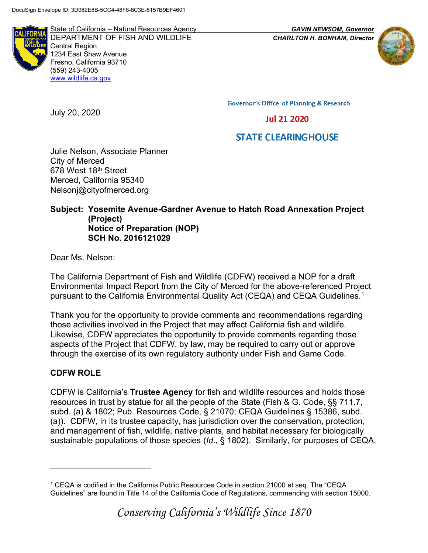**LIFORM** 

State of California – Natural Resources Agency *GAVIN NEWSOM, Governor* DEPARTMENT OF FISH AND WILDLIFE *CHARLTON H. BONHAM, Director*  Central Region 1234 East Shaw Avenue Fresno, California 93710 (559) 243-4005 [www.wildlife.ca.gov](http://www.cdfw.ca.gov/)



**Governor's Office of Planning & Research** 

# **Jul 21 2020**

# **STATE CLEARINGHOUSE**

Julie Nelson, Associate Planner City of Merced 678 West 18<sup>th</sup> Street Merced, California 95340 Nelsonj@cityofmerced.org

#### **Subject: Yosemite Avenue-Gardner Avenue to Hatch Road Annexation Project (Project) Notice of Preparation (NOP) SCH No. 2016121029**

Dear Ms. Nelson:

July 20, 2020

The California Department of Fish and Wildlife (CDFW) received a NOP for a draft Environmental Impact Report from the City of Merced for the above-referenced Project pursuant to the California Environmental Quality Act (CEQA) and CEQA Guidelines.<sup>1</sup>

Thank you for the opportunity to provide comments and recommendations regarding those activities involved in the Project that may affect California fish and wildlife. Likewise, CDFW appreciates the opportunity to provide comments regarding those aspects of the Project that CDFW, by law, may be required to carry out or approve through the exercise of its own regulatory authority under Fish and Game Code.

# **CDFW ROLE**

CDFW is California's **Trustee Agency** for fish and wildlife resources and holds those resources in trust by statue for all the people of the State (Fish & G. Code, §§ 711.7, subd. (a) & 1802; Pub. Resources Code, § 21070; CEQA Guidelines § 15386, subd. (a)). CDFW, in its trustee capacity, has jurisdiction over the conservation, protection, and management of fish, wildlife, native plants, and habitat necessary for biologically sustainable populations of those species (*Id*., § 1802). Similarly, for purposes of CEQA,

<sup>1</sup> CEQA is codified in the California Public Resources Code in section 21000 et seq. The "CEQA Guidelines" are found in Title 14 of the California Code of Regulations, commencing with section 15000.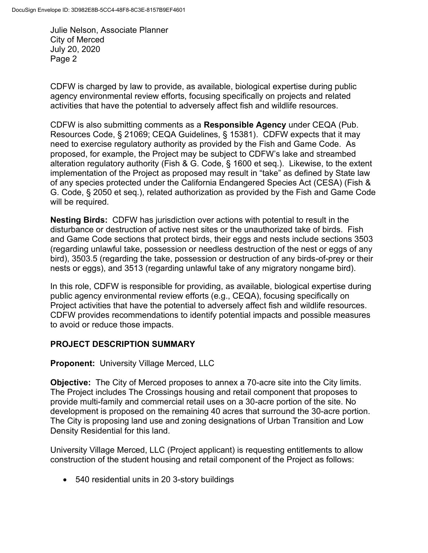CDFW is charged by law to provide, as available, biological expertise during public agency environmental review efforts, focusing specifically on projects and related activities that have the potential to adversely affect fish and wildlife resources.

CDFW is also submitting comments as a **Responsible Agency** under CEQA (Pub. Resources Code, § 21069; CEQA Guidelines, § 15381). CDFW expects that it may need to exercise regulatory authority as provided by the Fish and Game Code. As proposed, for example, the Project may be subject to CDFW's lake and streambed alteration regulatory authority (Fish & G. Code, § 1600 et seq.). Likewise, to the extent implementation of the Project as proposed may result in "take" as defined by State law of any species protected under the California Endangered Species Act (CESA) (Fish & G. Code, § 2050 et seq.), related authorization as provided by the Fish and Game Code will be required.

**Nesting Birds:** CDFW has jurisdiction over actions with potential to result in the disturbance or destruction of active nest sites or the unauthorized take of birds. Fish and Game Code sections that protect birds, their eggs and nests include sections 3503 (regarding unlawful take, possession or needless destruction of the nest or eggs of any bird), 3503.5 (regarding the take, possession or destruction of any birds-of-prey or their nests or eggs), and 3513 (regarding unlawful take of any migratory nongame bird).

In this role, CDFW is responsible for providing, as available, biological expertise during public agency environmental review efforts (e.g., CEQA), focusing specifically on Project activities that have the potential to adversely affect fish and wildlife resources. CDFW provides recommendations to identify potential impacts and possible measures to avoid or reduce those impacts.

# **PROJECT DESCRIPTION SUMMARY**

# **Proponent:** University Village Merced, LLC

**Objective:** The City of Merced proposes to annex a 70-acre site into the City limits. The Project includes The Crossings housing and retail component that proposes to provide multi-family and commercial retail uses on a 30-acre portion of the site. No development is proposed on the remaining 40 acres that surround the 30-acre portion. The City is proposing land use and zoning designations of Urban Transition and Low Density Residential for this land.

University Village Merced, LLC (Project applicant) is requesting entitlements to allow construction of the student housing and retail component of the Project as follows:

• 540 residential units in 20 3-story buildings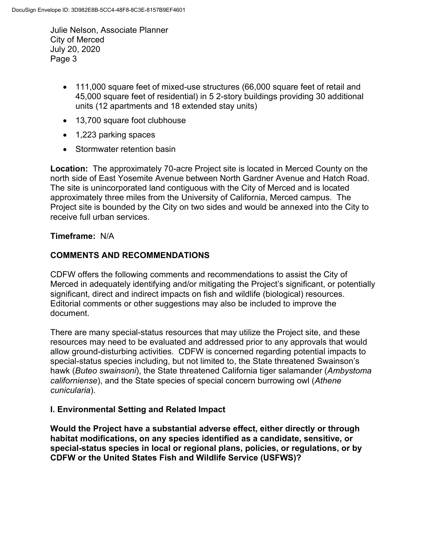- 111,000 square feet of mixed-use structures (66,000 square feet of retail and 45,000 square feet of residential) in 5 2-story buildings providing 30 additional units (12 apartments and 18 extended stay units)
- 13,700 square foot clubhouse
- 1,223 parking spaces
- Stormwater retention basin

**Location:** The approximately 70-acre Project site is located in Merced County on the north side of East Yosemite Avenue between North Gardner Avenue and Hatch Road. The site is unincorporated land contiguous with the City of Merced and is located approximately three miles from the University of California, Merced campus. The Project site is bounded by the City on two sides and would be annexed into the City to receive full urban services.

### **Timeframe:** N/A

### **COMMENTS AND RECOMMENDATIONS**

CDFW offers the following comments and recommendations to assist the City of Merced in adequately identifying and/or mitigating the Project's significant, or potentially significant, direct and indirect impacts on fish and wildlife (biological) resources. Editorial comments or other suggestions may also be included to improve the document.

There are many special-status resources that may utilize the Project site, and these resources may need to be evaluated and addressed prior to any approvals that would allow ground-disturbing activities. CDFW is concerned regarding potential impacts to special-status species including, but not limited to, the State threatened Swainson's hawk (*Buteo swainsoni*), the State threatened California tiger salamander (*Ambystoma californiense*), and the State species of special concern burrowing owl (*Athene cunicularia*).

#### **I. Environmental Setting and Related Impact**

**Would the Project have a substantial adverse effect, either directly or through habitat modifications, on any species identified as a candidate, sensitive, or special-status species in local or regional plans, policies, or regulations, or by CDFW or the United States Fish and Wildlife Service (USFWS)?**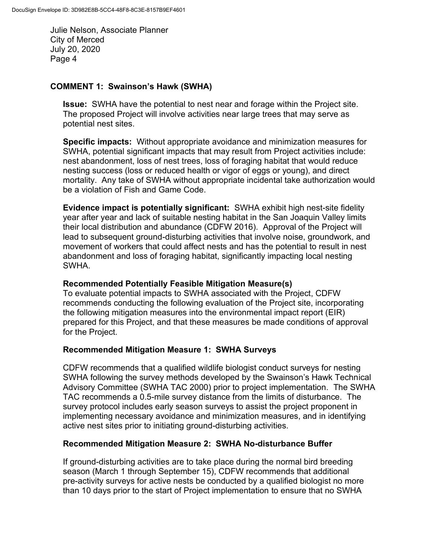### **COMMENT 1: Swainson's Hawk (SWHA)**

**Issue:** SWHA have the potential to nest near and forage within the Project site. The proposed Project will involve activities near large trees that may serve as potential nest sites.

**Specific impacts:** Without appropriate avoidance and minimization measures for SWHA, potential significant impacts that may result from Project activities include: nest abandonment, loss of nest trees, loss of foraging habitat that would reduce nesting success (loss or reduced health or vigor of eggs or young), and direct mortality. Any take of SWHA without appropriate incidental take authorization would be a violation of Fish and Game Code.

**Evidence impact is potentially significant:** SWHA exhibit high nest-site fidelity year after year and lack of suitable nesting habitat in the San Joaquin Valley limits their local distribution and abundance (CDFW 2016). Approval of the Project will lead to subsequent ground-disturbing activities that involve noise, groundwork, and movement of workers that could affect nests and has the potential to result in nest abandonment and loss of foraging habitat, significantly impacting local nesting SWHA.

#### **Recommended Potentially Feasible Mitigation Measure(s)**

To evaluate potential impacts to SWHA associated with the Project, CDFW recommends conducting the following evaluation of the Project site, incorporating the following mitigation measures into the environmental impact report (EIR) prepared for this Project, and that these measures be made conditions of approval for the Project.

#### **Recommended Mitigation Measure 1: SWHA Surveys**

CDFW recommends that a qualified wildlife biologist conduct surveys for nesting SWHA following the survey methods developed by the Swainson's Hawk Technical Advisory Committee (SWHA TAC 2000) prior to project implementation. The SWHA TAC recommends a 0.5-mile survey distance from the limits of disturbance. The survey protocol includes early season surveys to assist the project proponent in implementing necessary avoidance and minimization measures, and in identifying active nest sites prior to initiating ground-disturbing activities.

#### **Recommended Mitigation Measure 2: SWHA No-disturbance Buffer**

If ground-disturbing activities are to take place during the normal bird breeding season (March 1 through September 15), CDFW recommends that additional pre-activity surveys for active nests be conducted by a qualified biologist no more than 10 days prior to the start of Project implementation to ensure that no SWHA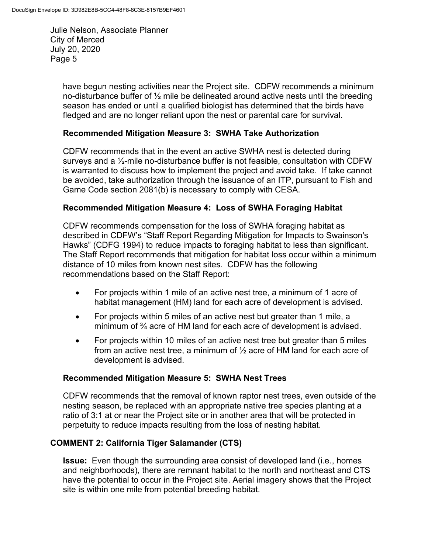> have begun nesting activities near the Project site. CDFW recommends a minimum no-disturbance buffer of  $\frac{1}{2}$  mile be delineated around active nests until the breeding season has ended or until a qualified biologist has determined that the birds have fledged and are no longer reliant upon the nest or parental care for survival.

#### **Recommended Mitigation Measure 3: SWHA Take Authorization**

CDFW recommends that in the event an active SWHA nest is detected during surveys and a ½-mile no-disturbance buffer is not feasible, consultation with CDFW is warranted to discuss how to implement the project and avoid take. If take cannot be avoided, take authorization through the issuance of an ITP, pursuant to Fish and Game Code section 2081(b) is necessary to comply with CESA.

#### **Recommended Mitigation Measure 4: Loss of SWHA Foraging Habitat**

CDFW recommends compensation for the loss of SWHA foraging habitat as described in CDFW's "Staff Report Regarding Mitigation for Impacts to Swainson's Hawks" (CDFG 1994) to reduce impacts to foraging habitat to less than significant. The Staff Report recommends that mitigation for habitat loss occur within a minimum distance of 10 miles from known nest sites. CDFW has the following recommendations based on the Staff Report:

- For projects within 1 mile of an active nest tree, a minimum of 1 acre of habitat management (HM) land for each acre of development is advised.
- For projects within 5 miles of an active nest but greater than 1 mile, a minimum of ¾ acre of HM land for each acre of development is advised.
- For projects within 10 miles of an active nest tree but greater than 5 miles from an active nest tree, a minimum of ½ acre of HM land for each acre of development is advised.

#### **Recommended Mitigation Measure 5: SWHA Nest Trees**

CDFW recommends that the removal of known raptor nest trees, even outside of the nesting season, be replaced with an appropriate native tree species planting at a ratio of 3:1 at or near the Project site or in another area that will be protected in perpetuity to reduce impacts resulting from the loss of nesting habitat.

#### **COMMENT 2: California Tiger Salamander (CTS)**

**Issue:** Even though the surrounding area consist of developed land (i.e., homes and neighborhoods), there are remnant habitat to the north and northeast and CTS have the potential to occur in the Project site. Aerial imagery shows that the Project site is within one mile from potential breeding habitat.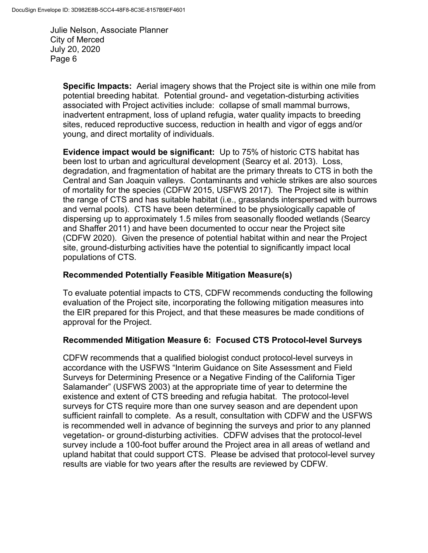> **Specific Impacts:** Aerial imagery shows that the Project site is within one mile from potential breeding habitat. Potential ground- and vegetation-disturbing activities associated with Project activities include: collapse of small mammal burrows, inadvertent entrapment, loss of upland refugia, water quality impacts to breeding sites, reduced reproductive success, reduction in health and vigor of eggs and/or young, and direct mortality of individuals.

> **Evidence impact would be significant:** Up to 75% of historic CTS habitat has been lost to urban and agricultural development (Searcy et al. 2013). Loss, degradation, and fragmentation of habitat are the primary threats to CTS in both the Central and San Joaquin valleys. Contaminants and vehicle strikes are also sources of mortality for the species (CDFW 2015, USFWS 2017). The Project site is within the range of CTS and has suitable habitat (i.e., grasslands interspersed with burrows and vernal pools). CTS have been determined to be physiologically capable of dispersing up to approximately 1.5 miles from seasonally flooded wetlands (Searcy and Shaffer 2011) and have been documented to occur near the Project site (CDFW 2020). Given the presence of potential habitat within and near the Project site, ground-disturbing activities have the potential to significantly impact local populations of CTS.

### **Recommended Potentially Feasible Mitigation Measure(s)**

To evaluate potential impacts to CTS, CDFW recommends conducting the following evaluation of the Project site, incorporating the following mitigation measures into the EIR prepared for this Project, and that these measures be made conditions of approval for the Project.

#### **Recommended Mitigation Measure 6: Focused CTS Protocol-level Surveys**

CDFW recommends that a qualified biologist conduct protocol-level surveys in accordance with the USFWS "Interim Guidance on Site Assessment and Field Surveys for Determining Presence or a Negative Finding of the California Tiger Salamander" (USFWS 2003) at the appropriate time of year to determine the existence and extent of CTS breeding and refugia habitat. The protocol-level surveys for CTS require more than one survey season and are dependent upon sufficient rainfall to complete. As a result, consultation with CDFW and the USFWS is recommended well in advance of beginning the surveys and prior to any planned vegetation- or ground-disturbing activities. CDFW advises that the protocol-level survey include a 100-foot buffer around the Project area in all areas of wetland and upland habitat that could support CTS. Please be advised that protocol-level survey results are viable for two years after the results are reviewed by CDFW.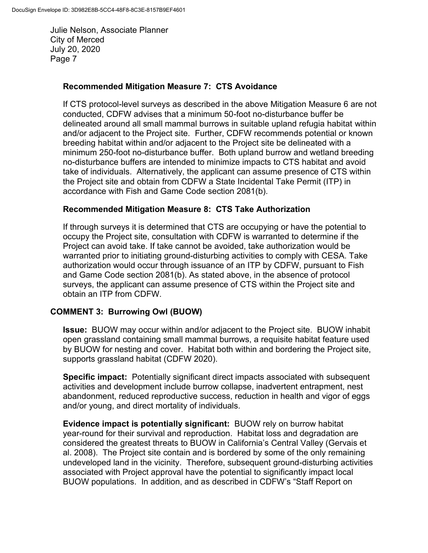### **Recommended Mitigation Measure 7: CTS Avoidance**

If CTS protocol-level surveys as described in the above Mitigation Measure 6 are not conducted, CDFW advises that a minimum 50-foot no-disturbance buffer be delineated around all small mammal burrows in suitable upland refugia habitat within and/or adjacent to the Project site. Further, CDFW recommends potential or known breeding habitat within and/or adjacent to the Project site be delineated with a minimum 250-foot no-disturbance buffer. Both upland burrow and wetland breeding no-disturbance buffers are intended to minimize impacts to CTS habitat and avoid take of individuals. Alternatively, the applicant can assume presence of CTS within the Project site and obtain from CDFW a State Incidental Take Permit (ITP) in accordance with Fish and Game Code section 2081(b).

#### **Recommended Mitigation Measure 8: CTS Take Authorization**

If through surveys it is determined that CTS are occupying or have the potential to occupy the Project site, consultation with CDFW is warranted to determine if the Project can avoid take. If take cannot be avoided, take authorization would be warranted prior to initiating ground-disturbing activities to comply with CESA. Take authorization would occur through issuance of an ITP by CDFW, pursuant to Fish and Game Code section 2081(b). As stated above, in the absence of protocol surveys, the applicant can assume presence of CTS within the Project site and obtain an ITP from CDFW.

#### **COMMENT 3: Burrowing Owl (BUOW)**

**Issue:** BUOW may occur within and/or adjacent to the Project site. BUOW inhabit open grassland containing small mammal burrows, a requisite habitat feature used by BUOW for nesting and cover. Habitat both within and bordering the Project site, supports grassland habitat (CDFW 2020).

**Specific impact:** Potentially significant direct impacts associated with subsequent activities and development include burrow collapse, inadvertent entrapment, nest abandonment, reduced reproductive success, reduction in health and vigor of eggs and/or young, and direct mortality of individuals.

**Evidence impact is potentially significant:** BUOW rely on burrow habitat year-round for their survival and reproduction. Habitat loss and degradation are considered the greatest threats to BUOW in California's Central Valley (Gervais et al. 2008). The Project site contain and is bordered by some of the only remaining undeveloped land in the vicinity. Therefore, subsequent ground-disturbing activities associated with Project approval have the potential to significantly impact local BUOW populations. In addition, and as described in CDFW's "Staff Report on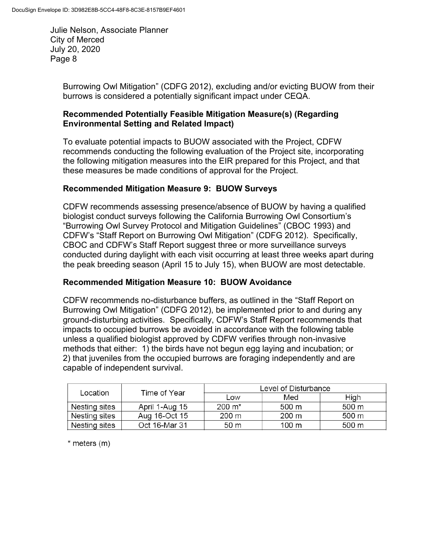> Burrowing Owl Mitigation" (CDFG 2012), excluding and/or evicting BUOW from their burrows is considered a potentially significant impact under CEQA.

### **Recommended Potentially Feasible Mitigation Measure(s) (Regarding Environmental Setting and Related Impact)**

To evaluate potential impacts to BUOW associated with the Project, CDFW recommends conducting the following evaluation of the Project site, incorporating the following mitigation measures into the EIR prepared for this Project, and that these measures be made conditions of approval for the Project.

# **Recommended Mitigation Measure 9: BUOW Surveys**

CDFW recommends assessing presence/absence of BUOW by having a qualified biologist conduct surveys following the California Burrowing Owl Consortium's "Burrowing Owl Survey Protocol and Mitigation Guidelines" (CBOC 1993) and CDFW's "Staff Report on Burrowing Owl Mitigation" (CDFG 2012). Specifically, CBOC and CDFW's Staff Report suggest three or more surveillance surveys conducted during daylight with each visit occurring at least three weeks apart during the peak breeding season (April 15 to July 15), when BUOW are most detectable.

# **Recommended Mitigation Measure 10: BUOW Avoidance**

CDFW recommends no-disturbance buffers, as outlined in the "Staff Report on Burrowing Owl Mitigation" (CDFG 2012), be implemented prior to and during any ground-disturbing activities. Specifically, CDFW's Staff Report recommends that impacts to occupied burrows be avoided in accordance with the following table unless a qualified biologist approved by CDFW verifies through non-invasive methods that either: 1) the birds have not begun egg laying and incubation; or 2) that juveniles from the occupied burrows are foraging independently and are capable of independent survival.

| Location      | Time of Year   | Level of Disturbance |                 |       |
|---------------|----------------|----------------------|-----------------|-------|
|               |                | Low                  | Med             | High  |
| Nesting sites | April 1-Aug 15 | 200 m*               | 500 m           | 500 m |
| Nesting sites | Aug 16-Oct 15  | $200 \text{ m}$      | $200 \text{ m}$ | 500 m |
| Nesting sites | Oct 16-Mar 31  | 50 m                 | 100 m           | 500 m |

 $*$  meters  $(m)$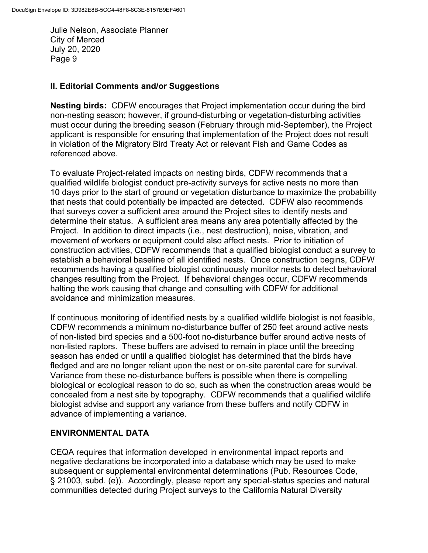#### **II. Editorial Comments and/or Suggestions**

**Nesting birds:** CDFW encourages that Project implementation occur during the bird non-nesting season; however, if ground-disturbing or vegetation-disturbing activities must occur during the breeding season (February through mid-September), the Project applicant is responsible for ensuring that implementation of the Project does not result in violation of the Migratory Bird Treaty Act or relevant Fish and Game Codes as referenced above.

To evaluate Project-related impacts on nesting birds, CDFW recommends that a qualified wildlife biologist conduct pre-activity surveys for active nests no more than 10 days prior to the start of ground or vegetation disturbance to maximize the probability that nests that could potentially be impacted are detected. CDFW also recommends that surveys cover a sufficient area around the Project sites to identify nests and determine their status. A sufficient area means any area potentially affected by the Project. In addition to direct impacts (i.e., nest destruction), noise, vibration, and movement of workers or equipment could also affect nests. Prior to initiation of construction activities, CDFW recommends that a qualified biologist conduct a survey to establish a behavioral baseline of all identified nests. Once construction begins, CDFW recommends having a qualified biologist continuously monitor nests to detect behavioral changes resulting from the Project. If behavioral changes occur, CDFW recommends halting the work causing that change and consulting with CDFW for additional avoidance and minimization measures.

If continuous monitoring of identified nests by a qualified wildlife biologist is not feasible, CDFW recommends a minimum no-disturbance buffer of 250 feet around active nests of non-listed bird species and a 500-foot no-disturbance buffer around active nests of non-listed raptors. These buffers are advised to remain in place until the breeding season has ended or until a qualified biologist has determined that the birds have fledged and are no longer reliant upon the nest or on-site parental care for survival. Variance from these no-disturbance buffers is possible when there is compelling biological or ecological reason to do so, such as when the construction areas would be concealed from a nest site by topography. CDFW recommends that a qualified wildlife biologist advise and support any variance from these buffers and notify CDFW in advance of implementing a variance.

# **ENVIRONMENTAL DATA**

CEQA requires that information developed in environmental impact reports and negative declarations be incorporated into a database which may be used to make subsequent or supplemental environmental determinations (Pub. Resources Code, § 21003, subd. (e)). Accordingly, please report any special-status species and natural communities detected during Project surveys to the California Natural Diversity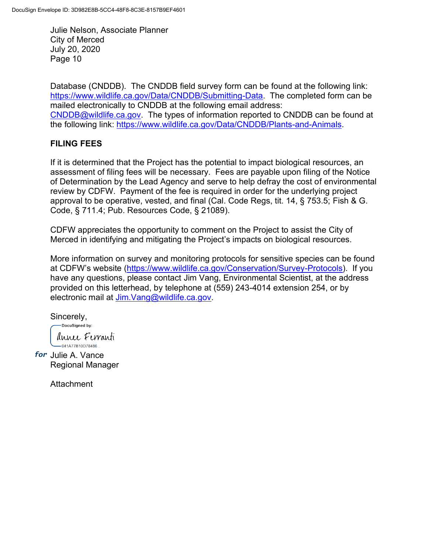Database (CNDDB). The CNDDB field survey form can be found at the following link: [https://www.wildlife.ca.gov/Data/CNDDB/Submitting-Data.](https://www.wildlife.ca.gov/Data/CNDDB/Submitting-Data) The completed form can be mailed electronically to CNDDB at the following email address: [CNDDB@wildlife.ca.gov.](mailto:CNDDB@wildlife.ca.gov) The types of information reported to CNDDB can be found at the following link: [https://www.wildlife.ca.gov/Data/CNDDB/Plants-and-Animals.](https://www.wildlife.ca.gov/Data/CNDDB/Plants-and-Animals)

# **FILING FEES**

If it is determined that the Project has the potential to impact biological resources, an assessment of filing fees will be necessary. Fees are payable upon filing of the Notice of Determination by the Lead Agency and serve to help defray the cost of environmental review by CDFW. Payment of the fee is required in order for the underlying project approval to be operative, vested, and final (Cal. Code Regs, tit. 14, § 753.5; Fish & G. Code, § 711.4; Pub. Resources Code, § 21089).

CDFW appreciates the opportunity to comment on the Project to assist the City of Merced in identifying and mitigating the Project's impacts on biological resources.

More information on survey and monitoring protocols for sensitive species can be found at CDFW's website ([https://www.wildlife.ca.gov/Conservation/Survey-Protocols\)](https://www.wildlife.ca.gov/Conservation/Survey-Protocols). If you have any questions, please contact Jim Vang, Environmental Scientist, at the address provided on this letterhead, by telephone at (559) 243-4014 extension 254, or by electronic mail at [Jim.Vang@wildlife.ca.gov.](mailto:Jim.Vang@wildlife.ca.gov)

Sincerely,

DocuSigned by:

annee Ferranti  $-041A77B10D78486...$ 

for Julie A. Vance Regional Manager

**Attachment**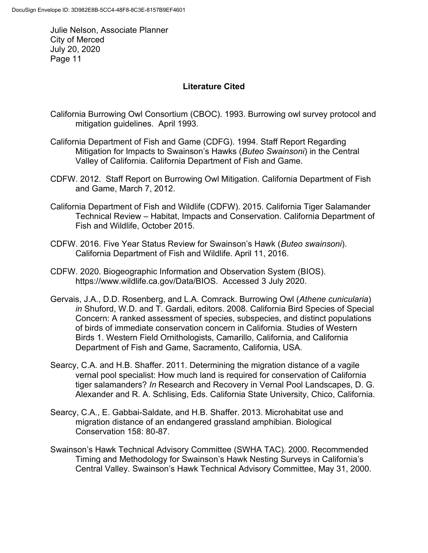# **Literature Cited**

- California Burrowing Owl Consortium (CBOC). 1993. Burrowing owl survey protocol and mitigation guidelines. April 1993.
- California Department of Fish and Game (CDFG). 1994. Staff Report Regarding Mitigation for Impacts to Swainson's Hawks (*Buteo Swainsoni*) in the Central Valley of California. California Department of Fish and Game.
- CDFW. 2012. Staff Report on Burrowing Owl Mitigation. California Department of Fish and Game, March 7, 2012.
- California Department of Fish and Wildlife (CDFW). 2015. California Tiger Salamander Technical Review – Habitat, Impacts and Conservation. California Department of Fish and Wildlife, October 2015.
- CDFW. 2016. Five Year Status Review for Swainson's Hawk (*Buteo swainsoni*). California Department of Fish and Wildlife. April 11, 2016.
- CDFW. 2020. Biogeographic Information and Observation System (BIOS). https://www.wildlife.ca.gov/Data/BIOS. Accessed 3 July 2020.
- Gervais, J.A., D.D. Rosenberg, and L.A. Comrack. Burrowing Owl (*Athene cunicularia*) *in* Shuford, W.D. and T. Gardali, editors. 2008. California Bird Species of Special Concern: A ranked assessment of species, subspecies, and distinct populations of birds of immediate conservation concern in California. Studies of Western Birds 1. Western Field Ornithologists, Camarillo, California, and California Department of Fish and Game, Sacramento, California, USA.
- Searcy, C.A. and H.B. Shaffer. 2011. Determining the migration distance of a vagile vernal pool specialist: How much land is required for conservation of California tiger salamanders? *In* Research and Recovery in Vernal Pool Landscapes, D. G. Alexander and R. A. Schlising, Eds. California State University, Chico, California.
- Searcy, C.A., E. Gabbai-Saldate, and H.B. Shaffer. 2013. Microhabitat use and migration distance of an endangered grassland amphibian. Biological Conservation 158: 80-87.
- Swainson's Hawk Technical Advisory Committee (SWHA TAC). 2000. Recommended Timing and Methodology for Swainson's Hawk Nesting Surveys in California's Central Valley. Swainson's Hawk Technical Advisory Committee, May 31, 2000.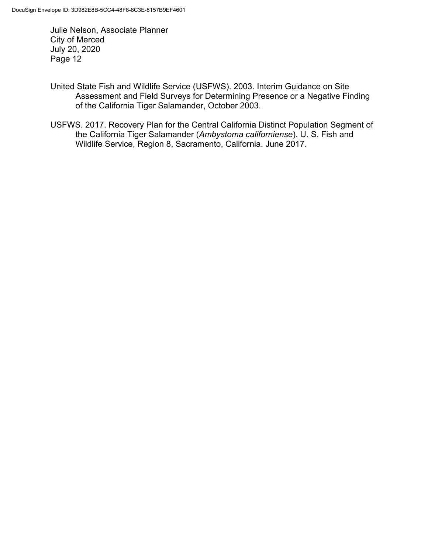- United State Fish and Wildlife Service (USFWS). 2003. Interim Guidance on Site Assessment and Field Surveys for Determining Presence or a Negative Finding of the California Tiger Salamander, October 2003.
- USFWS. 2017. Recovery Plan for the Central California Distinct Population Segment of the California Tiger Salamander (*Ambystoma californiense*). U. S. Fish and Wildlife Service, Region 8, Sacramento, California. June 2017.